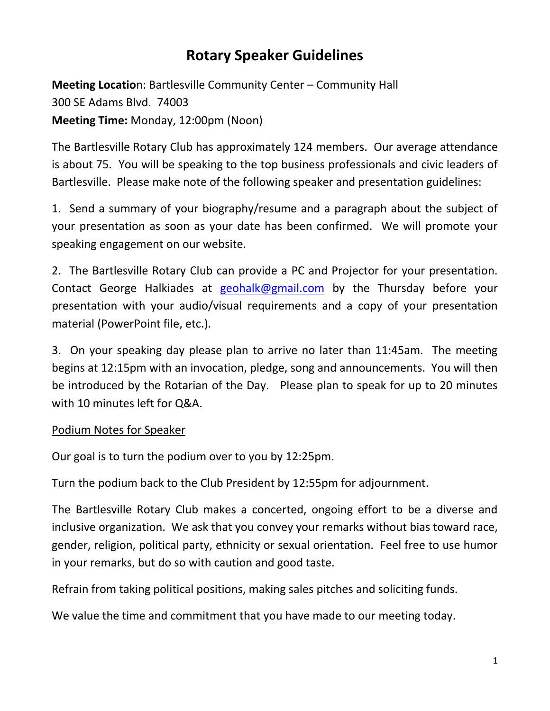## **Rotary Speaker Guidelines**

**Meeting Locatio**n: Bartlesville Community Center – Community Hall 300 SE Adams Blvd. 74003 **Meeting Time:** Monday, 12:00pm (Noon)

The Bartlesville Rotary Club has approximately 124 members. Our average attendance is about 75. You will be speaking to the top business professionals and civic leaders of Bartlesville. Please make note of the following speaker and presentation guidelines:

1. Send a summary of your biography/resume and a paragraph about the subject of your presentation as soon as your date has been confirmed. We will promote your speaking engagement on our website.

2. The Bartlesville Rotary Club can provide a PC and Projector for your presentation. Contact George Halkiades at [geohalk@gmail.com](mailto:geohalk@gmail.com) by the Thursday before your presentation with your audio/visual requirements and a copy of your presentation material (PowerPoint file, etc.).

3. On your speaking day please plan to arrive no later than 11:45am. The meeting begins at 12:15pm with an invocation, pledge, song and announcements. You will then be introduced by the Rotarian of the Day. Please plan to speak for up to 20 minutes with 10 minutes left for Q&A.

## Podium Notes for Speaker

Our goal is to turn the podium over to you by 12:25pm.

Turn the podium back to the Club President by 12:55pm for adjournment.

The Bartlesville Rotary Club makes a concerted, ongoing effort to be a diverse and inclusive organization. We ask that you convey your remarks without bias toward race, gender, religion, political party, ethnicity or sexual orientation. Feel free to use humor in your remarks, but do so with caution and good taste.

Refrain from taking political positions, making sales pitches and soliciting funds.

We value the time and commitment that you have made to our meeting today.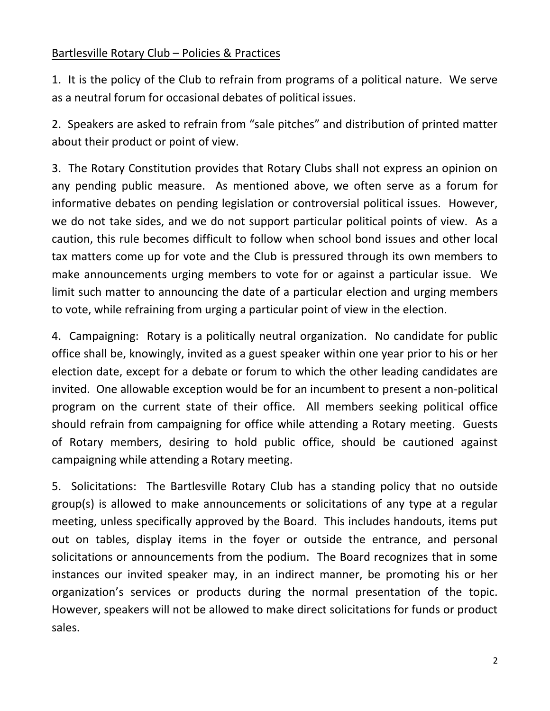## Bartlesville Rotary Club – Policies & Practices

1. It is the policy of the Club to refrain from programs of a political nature. We serve as a neutral forum for occasional debates of political issues.

2. Speakers are asked to refrain from "sale pitches" and distribution of printed matter about their product or point of view.

3. The Rotary Constitution provides that Rotary Clubs shall not express an opinion on any pending public measure. As mentioned above, we often serve as a forum for informative debates on pending legislation or controversial political issues. However, we do not take sides, and we do not support particular political points of view. As a caution, this rule becomes difficult to follow when school bond issues and other local tax matters come up for vote and the Club is pressured through its own members to make announcements urging members to vote for or against a particular issue. We limit such matter to announcing the date of a particular election and urging members to vote, while refraining from urging a particular point of view in the election.

4. Campaigning: Rotary is a politically neutral organization. No candidate for public office shall be, knowingly, invited as a guest speaker within one year prior to his or her election date, except for a debate or forum to which the other leading candidates are invited. One allowable exception would be for an incumbent to present a non-political program on the current state of their office. All members seeking political office should refrain from campaigning for office while attending a Rotary meeting. Guests of Rotary members, desiring to hold public office, should be cautioned against campaigning while attending a Rotary meeting.

5. Solicitations: The Bartlesville Rotary Club has a standing policy that no outside group(s) is allowed to make announcements or solicitations of any type at a regular meeting, unless specifically approved by the Board. This includes handouts, items put out on tables, display items in the foyer or outside the entrance, and personal solicitations or announcements from the podium. The Board recognizes that in some instances our invited speaker may, in an indirect manner, be promoting his or her organization's services or products during the normal presentation of the topic. However, speakers will not be allowed to make direct solicitations for funds or product sales.